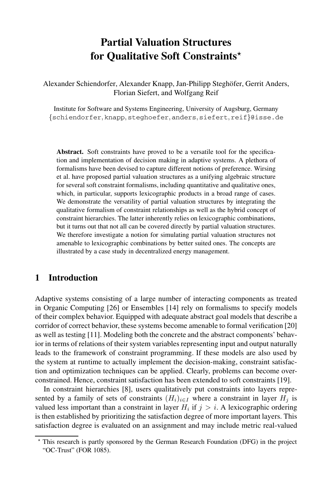# **Partial Valuation Structures for Qualitative Soft Constraints** *-*

Alexander Schiendorfer, Alexander Knapp, Jan-Philipp Steghöfer, Gerrit Anders, Florian Siefert, and Wolfgang Reif

Institute for Software and Systems Engineering, University of Augsburg, Germany {schiendorfer, knapp, steghoefer, anders, siefert, reif}@isse.de

**Abstract.** Soft constraints have proved to be a versatile tool for the specification and implementation of decision making in adaptive systems. A plethora of formalisms have been devised to capture different notions of preference. Wirsing et al. have proposed partial valuation structures as a unifying algebraic structure for several soft constraint formalisms, including quantitative and qualitative ones, which, in particular, supports lexicographic products in a broad range of cases. We demonstrate the versatility of partial valuation structures by integrating the qualitative formalism of constraint relationships as well as the hybrid concept of constraint hierarchies. The latter inherently relies on lexicographic combinations, but it turns out that not all can be covered directly by partial valuation structures. [W](#page-18-0)e therefore investigate a notion for simulating partial valuation structures not amenable to lexicog[rap](#page-17-0)hic combinations by better suited ones. The concepts are illustrated by a case study in decentralized energy managemen[t.](#page-18-1)

# **1 Introduction**

Adaptive systems consisting of a large number of interacting components as treated in Organic Computing [26] or Ensembles [14] rely on for[malis](#page-18-2)ms to specify models of their c[om](#page-17-1)plex behavior. Equipped with adequate abstract goal models that describe a corridor of correct behavior, these systems become amenable to formal verification [20] as well as testing [11]. Modeling both the concrete and the abstract components' behavior in terms of relations of their system variables representing input and output naturally leads to the framework of constraint programming. If these models are also used by the system at runtime to actually implement the decision-making, constraint satisfaction and optimization techniques can be applied. Clearly, problems can become overconstrained. Hence, constraint satisfaction has been extended to soft constraints [19].

In constraint hierarchies [8], users qualitatively put constraints into layers represented by a family of sets of constraints  $(H_i)_{i \in I}$  where a constraint in layer  $H_i$  is valued less important than a constraint in layer  $H_i$  if  $j > i$ . A lexicographic ordering is then established by prioritizing the satisfaction degree of more important layers. This satisfaction degree is evaluated on an assignment and may include metric real-valued

 $\star$  This research is partly sponsored by the German Research Foundation (DFG) in the project "OC-Trust" (FOR 1085).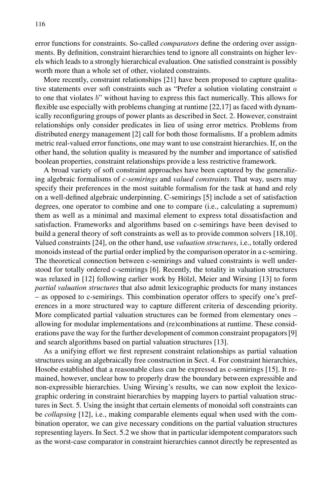error functions for constraints. So-call[ed](#page-18-3) *[co](#page-17-2)[mp](#page-2-0)arators* define the ordering over assignments. By definition, constraint hierarchies tend to ignore all constraints on higher levels which lea[ds](#page-17-3) to a strongly hierarchical evaluation. One satisfied constraint is possibly worth more than a whole set of other, violated constraints.

More recently, constraint relationships [21] have been proposed to capture qualitative statements over soft constraints such as "Prefer a solution violating constraint a to one that violates b" without having to express this fact numerically. This allows for flexible use especially with problems changing at runtime [22,17] as faced with dynamically reconfiguring groups of power plants as described in Sect. 2. However, constraint relationships only consider predicat[es](#page-17-4) in lieu of using error metrics. Problems from distributed energy management [2] call for both those formalisms. If a problem admits metric real-valued error functions, one may want to use constraint hierarchies. If, on the other hand, the solution quality is measured by the number and importance of satisfied boolean properties, constraint relationships provide a less r[estri](#page-17-5)[ctiv](#page-17-6)e framework.

A broad variety of soft constraint approaches have been captured by the generaliz[in](#page-18-4)g algebraic formalisms of *c-semirings* and *valued constraints*. That way, users may specify their preferences in the most suitable formalism for the task at hand and rely on a well-defined [al](#page-17-7)gebraic underpinning. C-semirings [5] include a set of satisfaction degrees, one operator to combine and one to compare [\(i.](#page-17-8)e., calculating a supremum) them as well as a minimal and maximal element to express total dissatisfaction and satisfaction. Frameworks and algorithms based on c-semirings have been devised to build a general theory of soft constraints as well as to provide common solvers [18,10]. Valued constraints [24], on the other hand, use *valuation structures*, i.e., totally ordered monoidsinstead of the partial order implied by the comparison operator in a c-semiring. The theoretical connection between c-semirings and valued con[str](#page-17-9)aints is well understood for totally ordered c-semirings [6[\].](#page-17-8) Recently, the totality in valuation structures was relaxed in [12] following earlier work by Hölzl, Meier and Wirsing [13] to form *partial valuation structures* that also [adm](#page-7-0)it lexicographic products for many instances – as opposed to c-semirings. This combination operator [off](#page-17-10)ers to specify one's preferences in a more structured way to capture different criteria of descending priority. More complicated partial valuation structures can be formed from elementary ones – allowing for modular implementations and (re)combinations at runtime. These considerations pave the way for the further development of common constraint propagators[9] and search algorithms based on partial valuation structures [13].

As a unifying effort we first represent constraint relationships as partial valuation structur[es](#page-11-0) using an algebraically free construction in Sect. 4. For constraint hierarchies, Hosobe established that a reasonable class can be expressed as c-semirings [15]. It remained, however, unclear how to properly draw the boundary between expressible and non-expressible hierarchies. Using Wirsing's results, we can now exploit the lexicographic ordering in constraint hierarchies by mapping layers to partial valuation structures in Sect. 5. Using the insight that certain elements of monoidal soft constraints can be *collapsing* [12], i.e., making comparable elements equal when used with the combination operator, we can give necessary conditions on the partial valuation structures representing layers. In Sect. 5.2 we show that in particular idempotent comparators such as the worst-case comparator in constraint hierarchies cannot directly be represented as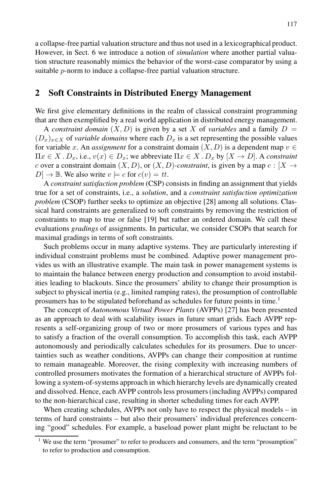<span id="page-2-0"></span>a collapse-free partial valuation structure and thus not used in a lexicographical product. However, in Sect. 6 we introduce a notion of *simulation* where another partial valuation structure reasonably mimics the behavior of the worst-case comparator by using a suitable p-norm to induce a collapse-free partial valuation structure.

# **2 Soft Constraints in Distributed Energy Management**

We first give elementary definitions in the realm of classical constraint programming that are then exemplified by a real world application in distributed energy management.

A *constraint domain*  $(X, D)$  is g[ive](#page-18-5)n by a set X of *variables* and a family  $D =$  $(D_x)_{x\in X}$  of *variable domains* where each  $D_x$  is a set representing the possible values for variable x. An *[as](#page-18-2)signment* for a constraint domain  $(X, D)$  is a dependent map  $v \in$  $\Pi x \in X$ .  $D_x$ , i.e.,  $v(x) \in D_x$ ; we abbreviate  $\Pi x \in X$ .  $D_x$  by  $[X \to D]$ . A *constraint* c over a constraint domain  $(X, D)$ , or  $(X, D)$ *-constraint*, is given by a map  $c : [X \rightarrow$  $D \rightarrow \mathbb{B}$ . We also write  $v \models c$  for  $c(v) = tt$ .

A *constraint satisfaction problem* (CSP) consists in finding an assignment that yields true for a set of constraints, i.e., a *solution*, and a *constraint satisfaction optimization problem* (CSOP) further seeks to optimize an objective [28] among all solutions. Classical hard constraints are generalized to soft constraints by removing the restriction of constraints to map to true or false [19] but rather an ordered domain. We call these evaluations *gradings* of assignments. In particular, we consi[de](#page-2-1)r CSOPs that search for maximal gradings in terms of soft constrain[ts.](#page-18-6)

Such problems occur in many adaptive systems. They are particularly interesting if individual constraint problems must be combined. Adaptive power management provides us with an illustrative example. The main task in power management systems is to maintain the balance between energy production and consumption to avoid instabilities leading to blackouts. Since the prosumers' ability to change their prosumption is subject to physical inertia (e.g., limited ramping rates), the prosumption of controllable prosumers has to be stipulated beforehand as schedules for future points in time.<sup>1</sup>

<span id="page-2-1"></span>The concept of *Autonomous Virtual Power Plants* (AVPPs) [27] has been presented as an approach to deal with scalability issues in future smart grids. Each AVPP represents a self-organizing group of two or more prosumers of various types and has to satisfy a fraction of the overall consumption. To accomplish this task, each AVPP autonomously and periodically calculates schedules for its prosumers. Due to uncertainties such as weather conditions, AVPPs can change their composition at runtime to remain manageable. Moreover, the rising complexity with increasing numbers of controlled prosumers motivates the formation of a hierarchical structure of AVPPs following a system-of-systems approach in which hierarchy levels are dynamically created and dissolved. Hence, each AVPP controlsless prosumers(including AVPPs) compared to the non-hierarchical case, resulting in shorter scheduling times for each AVPP.

When creating schedules, AVPPs not only have to respect the physical models – in terms of hard constraints – but also their prosumers' individual preferences concerning "good" schedules. For example, a baseload power plant might be reluctant to be

We use the term "prosumer" to refer to producers and consumers, and the term "prosumption" to refer to production and consumption.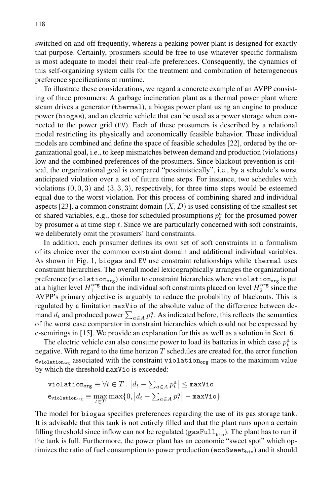switched on and off frequently, whereas a peaking power plant is designed for exactly that purpose. Certainly, prosumers should be free to use whatever specific formalism is most adequate to model their real-life preferences. Consequently, the dynamics of this self-organizing system calls for the tre[atm](#page-18-3)ent and combination of heterogeneous preference specifications at runtime.

To illustrate these considerations, we regard a concrete example of an AVPP consisting of three prosumers: A garbage incineration plant as a thermal power plant where steam drives a generator (thermal), a biogas power plant using an engine to produce power (biogas), and an electric vehicle that can be used as a power storage when connected to the power grid (EV). Each of these prosumers is described by a relational model restricting its physically and economically feasible behavior. These individual models are combined and define the space of feasible schedules [22], ordered by the organizational goal, i.e., to keep mismatches between demand and production (violations) low and the combined preferences of the prosumers. Since blackout prevention is critical, the organizational goal is compared "pessimistically", i.e., by a schedule's worst anticipated violation over a set of future time steps. For instance, two schedules with [v](#page-4-0)iolations  $(0, 0, 3)$  and  $(3, 3, 3)$ , respectively, for three time steps would be esteemed equal due to the worst violation. For this process of combining shared and individual aspects [23], a common constraint domain  $(X, D)$  is used consisting of the smallest set of shared variables, e.g., those for scheduled prosumptions  $p_t^a$  for the prosumed power by prosumer  $a$  at time step  $t$ . Since we are particularly concerned with soft constraints, we deliberately omit the prosumers' hard constraints.

In addition, each prosumer defines its own set of soft constraints in a formalism of its choice over the common constraint domain and additional individual variables. As shown in Fig. 1, biogas and EV use constraint relationship[s](#page-13-0) while thermal uses constraint hierarchies. The overall model lexicographically arranges the organizational preference (violation<sub>org</sub>) similar to constraint hierarchies where violation<sub>org</sub> is put at a higher level  $H_1^{\text{org}}$  than the individual soft constraints placed on level  $H_2^{\text{org}}$  since the AVPP's primary objective is arguably to reduce the probability of blackouts. This is regulated by a limitation maxVio of the absolute value of the difference between demand  $d_t$  and produced power  $\sum_{a \in A} p_t^a$ . As indicated before, this reflects the semantics of the worst case comparator in constraint hierarchies which could not be expressed by c-semirings in [15]. We provide an explanation for this as well as a solution in Sect. 6.

The electric vehicle can also consume power to load its batteries in which case  $p_t^a$  is negative. With regard to the time horizon  $T$  schedules are created for, the error function e<sub>violation<sub>org</sub> associated with the constraint violation<sub>org</sub> maps to the maximum value</sub> by which the threshold maxVio is exceeded:

$$
\begin{aligned} \text{violation}_{\text{org}} &\equiv \forall t \in T. \left| d_t - \sum_{a \in A} p_t^a \right| \leq \text{maxVio} \\ \text{e}_{\text{violation}_{\text{org}}} &\equiv \max_{t \in T} \max\{0, \left| d_t - \sum_{a \in A} p_t^a \right| - \text{maxVio} \} \end{aligned}
$$

The model for biogas specifies preferences regarding the use of its gas storage tank. It is advisable that this tank is not entirely filled and that the plant runs upon a certain filling threshold since inflow can not be regulated ( $\text{gasFull}_{\text{bio}}$ ). The plant has to run if the tank is full. Furthermore, the power plant has an economic "sweet spot" which optimizes the ratio of fuel consumption to power production ( $\epsilon \cos \theta$ weet $\theta$ <sub>bio</sub>) and it should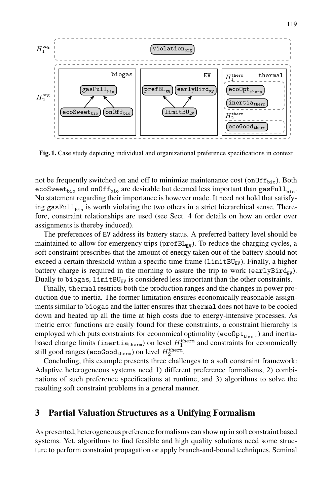<span id="page-4-0"></span>

**Fig. 1.** Case study depicting indi[vid](#page-7-0)ual and organizational preference specifications in context

not be frequently switched on and off to minimize maintenance cost (on $\text{Off}_{\text{bio}}$ ). Both ecoSweet<sub>bio</sub> and onOff<sub>bio</sub> are desirable but deemed less important than gasFull<sub>bio</sub>. No statement regarding their importance is however made. It need not hold that satisfying gasFull<sub>bio</sub> is worth violating the two others in a strict hierarchical sense. Therefore, constraint relationships are used (see Sect. 4 for details on how an order over assignments is thereby induced).

The preferences of EV address its battery status. A preferred battery level should be maintained to allow for emergency trips (prefBL<sub>EV</sub>). To reduce the charging cycles, a soft constraint prescribes that the amount of energy taken out of the battery should not exceed a certain threshold within a specific time frame ( $\text{limitBU}_{EV}$ ). Finally, a higher battery charge is required in the morning to assure the trip to work  $(earlyBird_{EV}).$ Dually to biogas,  $limitBU_{EV}$  is considered less important than the other constraints.

Finally, thermal restricts both the production ranges and the changes in power production due to inertia. The former limitation ensures economically reasonable assignments similar to biogas and the latter ensures that thermal does not have to be cooled down and heated up all the time at high costs due to energy-intensive processes. As metric error functions are easily found for these constraints, a constraint hierarchy is employed which puts constraints for economical optimality ( $\mathsf{ecoOpt}_{\mathsf{therm}}$ ) and inertiabased change limits (inertia<sub>therm</sub>) on level  $H_1^{\text{therm}}$  and constraints for economically still good ranges (e $\texttt{coGood}_{\texttt{therm}}$ ) on level  $H_2^{\texttt{therm}}$ .

Concluding, this example presents three challenges to a soft constraint framework: Adaptive heterogeneous systems need 1) different preference formalisms, 2) combinations of such preference specifications at runtime, and 3) algorithms to solve the resulting soft constraint problems in a general manner.

# **3 Partial Valuation Structures as a Unifying Formalism**

As presented, heterogeneous preference formalisms can show up in soft constraint based systems. Yet, algorithms to find feasible and high quality solutions need some structure to perform constraint propagation or apply branch-and-bound techniques. Seminal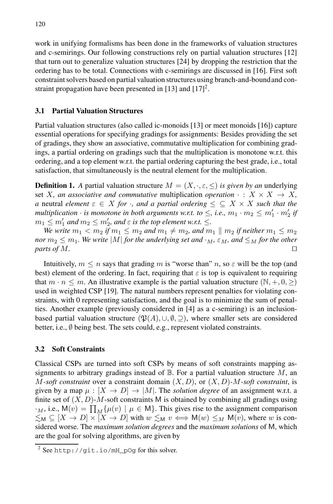work in unifying formalisms has been done in the frameworks of valuation structures and c-semirings. Our following [con](#page-17-8)structions rely on [par](#page-17-11)tial valuation structures [12] that turn out to generalize valuation structures [24] by dropping the restriction that the ordering has to be total. Connections with c-semirings are discussed in [16]. First soft constraintsolvers based on partial valuation structures using branch-and-boundand constraint propagation have been presented in [13] and  $[17]^2$ .

#### **3.1 Partial Valuation Structures**

Partial valuation structures (also called ic-monoids [13] or meet monoids [16]) capture essential operations for specifying gradings for assignments: Besides providing the set of gradings, they show an associative, commutative multiplication for combining gradings, a partial ordering on gradings such that the multiplication is monotone w.r.t. this ordering, and a top element w.r.t. the partial ordering capturing the best grade, i.e., total satisfaction, that simultaneously is the neutral element for the multiplication.

**Definition 1.** *A* partial valuation structure  $M = (X, \cdot, \varepsilon, \leq)$  *is given by an* underlying set *X*, *an associative and commutative* multiplication *operation* · :  $X \times X \rightarrow X$ , *a* neutral element  $\varepsilon \in X$  for  $\cdot$ , and a partial ordering  $\leq \subseteq X \times X$  such that the *multiplication*  $\cdot$  *is monotone in both arguments w.r.t. to*  $\leq$ *, i.e.,*  $m_1 \cdot m_2 \leq m'_1 \cdot m'_2$  *if*  $m_1 \leq m'_1$  and  $m_2 \leq m'_2$ , and  $\varepsilon$  *is the top element w.r.t.*  $\leq$ .

<span id="page-5-0"></span>*We write*  $m_1 < m_2$  *if*  $m_1 \le m_2$  *and*  $m_1 \ne m_2$ *, and*  $m_1 \parallel m_2$  *if neither*  $m_1 \le m_2$ *n[or](#page-17-12)*  $m_2 \leq m_1$ *. We write* |*M*| *for the underlying set and*  $\cdot_M$ *,*  $\varepsilon_M$ *, and*  $\leq_M$  *for the other parts of M*.  $\Box$  *parts of M.* 

Intuitively,  $m \leq n$  says that grading m is "worse than" n, so  $\varepsilon$  will be the top (and best) element of the ordering. In fact, requiring that  $\varepsilon$  is top is equivalent to requiring that  $m \cdot n \leq m$ . An illustrative example is the partial valuation structure  $(\mathbb{N}, +, 0, \geq)$ used in weighted CSP [19]. The natural numbers represent penalties for violating constraints, with 0 representing satisfaction, and the goal is to minimize the sum of penalties. Another example (previously considered in [4] as a c-semiring) is an inclusionbased partial valuation structure  $(\mathfrak{P}(A), \cup, \emptyset, \supseteq)$ , where smaller sets are considered better, i.e., Ø being best. The sets could, e.g., represent violated constraints.

## **3.2 Soft Constraints**

Classical CSPs are turned into soft CSPs by means of soft constraints mapping assignments to arbitrary gradings instead of  $\mathbb B$ . For a partial valuation structure  $M$ , an M-soft [constr](http://git.io/mH_pOg)aint over a constraint domain  $(X, D)$ , or  $(X, D)$ -M-soft constraint, is given by a map  $\mu : [X \to D] \to |M|$ . The *solution degree* of an assignment w.r.t. a finite set of  $(X, D)$ -M-soft constraints M is obtained by combining all gradings using  $\cdot_M$ , i.e.,  $M(v) = \prod_M {\mu(v) \mid \mu \in M}$ . This gives rise to the assignment comparison  $\leq_{\mathsf{M}} \subseteq [X \to D] \times [X \to D]$  with  $w \leq_{\mathsf{M}} v \iff M(w) \leq_{M} M(v)$ , where w is considered worse. The *maximum solution degrees* and the *maximum solutions* of M, which are the goal for solving algorithms, are given by

 $2$  See http://git.io/mH\_pOg for this solver.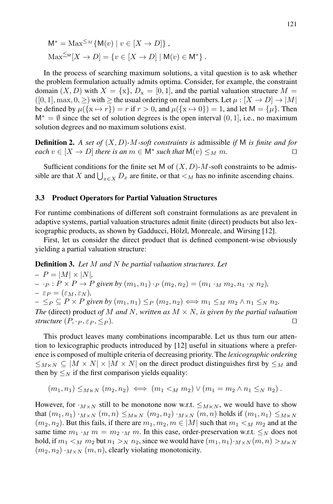$$
M^* = \text{Max}^{\leq M} \{ M(v) \mid v \in [X \to D] \},
$$
  

$$
\text{Max}^{\leq M} [X \to D] = \{ v \in [X \to D] \mid M(v) \in M^* \}.
$$

In the process of searching maximum solutions, a vital question is to ask whether the problem formulation actually admits optima. Consider, for example, the constraint domain  $(X, D)$  with  $X = \{x\}, D_x = [0, 1]$ , and the partial valuation structure  $M =$  $([0, 1], \max, 0, \geq)$  with  $\geq$  the usual ordering on real numbers. Let  $\mu : [X \to D] \to |M|$ be defined by  $\mu({x \mapsto r}) = r$  if  $r > 0$ , and  $\mu({x \mapsto 0}) = 1$ , and let  $M = {\mu}$ . Then  $M^* = \emptyset$  since the set of solution degrees is the open interval  $(0, 1]$ , i.e., no maximum solution degrees and no maximum solutions exist.

**Definition 2.** A set of  $(X, D)$ -M-soft constraints is admissible *if* M *is finite* and for  $\mathcal{E}$  *each*  $v \in [X \to D]$  *there is an*  $m \in \mathsf{M}^*$  *such that*  $\mathsf{M}(v) \leq_M m$ .

Sufficient conditions for the finite set M of  $(X, D)$ -M[-s](#page-17-13)oft constraints to be admissible are that X and  $\bigcup_{x \in X} D_x$  are finite, or that  $\lt_M$  has no infinite ascending chains.

#### **3.3 Product Operators for Partial Valuation Structures**

For runtime combinations of different soft constraint formulations as are prevalent in adaptive systems, partial valuation structures admit finite (direct) products but also lexicographic products, as shown by Gadducci, Hölzl, Monreale, and Wirsing [12].

First, let us consider the direct product that is defined component-wise obviously yielding a partial valuation structure:

**Definition 3.** *Let* M *and* N *be partial valuation structures. Let*

 $-P = |M| \times |N|$  $P - P : P \times P \rightarrow P$  *given by*  $(m_1, n_1) \cdot P(m_2, n_2) = (m_1 \cdot_M m_2, n_1 \cdot_N n_2)$ , *–*  $\varepsilon_P = (\varepsilon_M, \varepsilon_N)$ ,  $P_1 \leq P \leq P \times P$  *given by*  $(m_1, n_1) \leq P(m_2, n_2) \iff m_1 \leq_M m_2 \land n_1 \leq_N n_2$ . *The* (direct) product *of M and N, written as*  $M \times N$ *, is given by the partial valuation structure*  $(P, p, p \leq n)$ . *structure*  $(P, \cdot_P, \varepsilon_P, \leq_P)$ *.* 

This product leaves many combinations incomparable. Let us thus turn our attention to lexicographic products introduced by [12] useful in situations where a preference is composed of multiple criteria of decreasing priority. The *lexicographic ordering*  $\leq_{M \times N} \subseteq |M \times N| \times |M \times N|$  on the direct product distinguishes first by  $\leq_M$  and then by  $\leq_N$  if the first comparison yields equality:

$$
(m_1, n_1) \leq_{M \times N} (m_2, n_2) \iff (m_1 <_{M} m_2) \vee (m_1 = m_2 \wedge n_1 \leq_{N} n_2).
$$

However, for  $M \times N$  still to be monotone now w.r.t.  $\leq_{M \times N}$ , we would have to show that  $(m_1, n_1) \cdot_{M \times N} (m, n) \leq_{M \times N} (m_2, n_2) \cdot_{M \times N} (m, n)$  holds if  $(m_1, n_1) \leq_{M \times N}$  $(m_2, n_2)$ . But this fails, if there are  $m_1, m_2, m \in |M|$  such that  $m_1 \lt M m_2$  and at the same time  $m_1 \cdot_M m = m_2 \cdot_M m$ . In this case, order-preservation w.r.t.  $\leq_N$  does not hold, if  $m_1 < M$   $m_2$  but  $n_1 > N$   $n_2$ , since we would have  $(m_1, n_1)$   $_{M \times N}(m, n) >_{M \times N}$  $(m_2, n_2) \cdot_{M \times N} (m, n)$ , clearly violating monotonicity.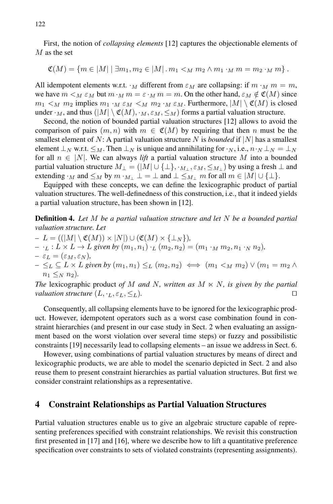First, the notion of *collapsing elements* [12] captures the objectionable elements of M as the set

$$
\mathfrak{C}(M) = \{ m \in |M| \mid \exists m_1, m_2 \in |M| \cdot m_1 \leq_M m_2 \wedge m_1 \cdot_M m = m_2 \cdot_M m \}.
$$

All idempotent elements w.r.t.  $\cdot_M$  different from  $\varepsilon_M$  are collapsing: if  $m \cdot_M m = m$ , we have  $m \lt_M \varepsilon_M$  but  $m \cdot_M m = \varepsilon \cdot_M m = m$ . On the other hand,  $\varepsilon_M \notin \mathfrak{C}(M)$  since  $m_1 \lt_M m_2$  implies  $m_1 \cdot_M \varepsilon_M \lt_M m_2 \cdot_M \varepsilon_M$ . Furthermore,  $|M| \setminus \mathfrak{C}(M)$  is closed under  $\cdot_M$ , and thus  $(|M| \setminus \mathfrak{C}(M), \cdot_M, \varepsilon_M, \leq_M)$  forms a partial valuation structure.

Second, the notion of bounded partial valuation structures [12] allows to avoid the comparison of pairs  $(m, n)$  [wi](#page-17-13)th  $m \in \mathfrak{C}(M)$  by requiring that then n must be the smallest element of N: A partial valuation structure N is *bounded* if  $|N|$  has a smallest element  $\perp_N$  w.r.t.  $\leq_M$ . Then  $\perp_N$  is unique and annihilating for  $\cdot_N$ , i.e.,  $n \cdot_N \perp_N = \perp_N$ for all  $n \in |N|$ . We can always *lift* a partial valuation structure M into a bounded partial valuation structure  $M_{\perp} = (|M| \cup \{\perp\}, \cdot_{M_{\perp}}, \varepsilon_M, \leq_{M_{\perp}})$  by using a fresh  $\perp$  and extending  $\cdot_M$  and  $\leq_M$  by  $m \cdot_{M_+} \perp = \perp$  and  $\perp \leq_{M_+} m$  for all  $m \in |M| \cup \perp$ .

Equipped with these concepts, we can define the lexicographic product of partial valuation structures. The well-definedness of this construction, i.e., that it indeed yields a partial valuation structure, has been shown in [12].

**Definition 4.** *Let* M *be a partial valuation structure and let* N *be a bounded partial valuation structure. Let*

- $-L = ((|M| \setminus \mathfrak{C}(M)) \times |N|) \cup (\mathfrak{C}(M) \times {\{\perp_N\}}),$
- *−*  $\cdot$ <sub>L</sub> :  $L \times L$  →  $L$  given by  $(m_1, n_1) \cdot L$   $(m_2, n_2) = (m_1 \cdot_M m_2, n_1 \cdot_N n_2)$ ,
- $-\varepsilon_L = (\varepsilon_M, \varepsilon_N),$
- <span id="page-7-0"></span> $- \leq_L \subseteq L \times L$  given by  $(m_1, n_1) \leq_L (m_2, n_2) \iff (m_1 \leq_M m_2) \vee (m_1 = m_2 \wedge L)$  $n_1 \leq_N n_2$ ).

*The* lexicographic product of M and N, written as  $M \times N$ , is given by the partial *valuation structure*  $(L, \cdot_L, \varepsilon_L, \leq_L)$ .

Consequently, all collapsing elements have to be ignored for the lexicographic product. However, idempotent operators such as a worst case combination found in constraint hierarchies (and present in our case study in Sect. 2 when evaluating an assignment based on the worst violation over several time steps) or fuzzy and possibilistic constraints [19] necessarily lead to collapsing elements – an issue we address in Sect. 6.

However, using combinations of partial valuation structures by means of direct and lexicographic products, we are able to model the scenario depicted in Sect. 2 and also [re](#page-17-2)use t[hem](#page-17-11) to present constraint hierarchies as partial valuation structures. But first we consider constraint relationships as a representative.

### **4 Constraint Relationships as Partial Valuation Structures**

Partial valuation structures enable us to give an algebraic structure capable of representing preferences specified with constraint relationships. We revisit this construction first presented in [17] and [16], where we describe how to lift a quantitative preference specification over constraints to sets of violated constraints (representing assignments).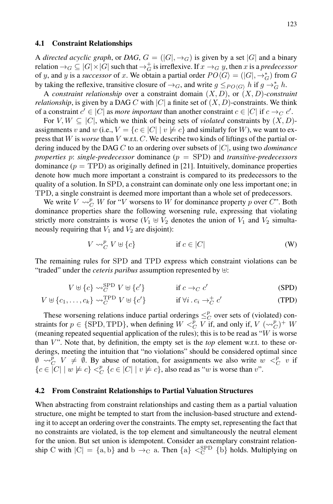#### **4.1 Constraint Relationships**

A *directed acyclic graph*, or *DAG*,  $G = (|G|, \rightarrow_G)$  is given by a set |G| and a binary relation  $\rightarrow_G \subseteq |G| \times |G|$  such that  $\rightarrow_G^+$  is irreflexive. If  $x \rightarrow_G y$ , then x is a *predecessor* of y, and y is a *successor* of x. We obtain a partial order  $PO\langle G \rangle = (|G|, \rightarrow_G^*)$  from G by taking the reflexive, transitive closure of  $\rightarrow_G$ , and write  $g \leq_{PO(G)} h$  if  $g \rightarrow_G^* h$ .

A *constraint relationship* [ove](#page-18-7)r a constraint domain (X, D), or (X, D)*-constraint relationship*, is given by a DAG C with  $|C|$  a finite set of  $(X, D)$ -constraints. We think of a constraint  $c' \in |C|$  as *more important* than another constraint  $c \in |C|$  if  $c \rightarrow_C c'$ .

For  $V, W \subseteq |C|$ , which we think of being sets of *violated* constraints by  $(X, D)$ assignments v and w (i.e.,  $V = \{c \in |C| \mid v \not\models c\}$  and similarly for W), we want to express that W is *worse* than V w.r.t. C. We describe two kinds of liftings of the partial ordering induced by the DAG C to an ordering over subsets of |C|, using two *dominance properties* p: *single-predecessor* dominance (p = SPD) and *transitive-predecessors* dominance  $(p = TPD)$  as originally defined in [21]. Intuitively, dominance properties denote how much more important a constraint is compared to its predecessors to the quality of a solution. In SPD, a constraint can dominate only one less important one; in TPD, a single constraint is deemed more important than a whole set of predecessors.

We write  $V \rightsquigarrow_C^p W$  for "V worsens to  $\overline{W}$  for dominance property p over C". Both dominance properties share the following worsening rule, expressing that violating strictly more constraints is worse  $(V_1 \oplus V_2)$  denotes the union of  $V_1$  and  $V_2$  simultaneously requiring that  $V_1$  and  $V_2$  are disjoint):

$$
V \rightsquigarrow_C^p V \oplus \{c\} \qquad \text{if } c \in |C| \tag{W}
$$

The remaining rules for SPD and TPD express which constraint violations can be "traded" under the *ceteris paribus* assumption represented by  $\biguplus$ :

$$
V \uplus \{c\} \leadsto_C^{\text{SPD}} V \uplus \{c'\} \qquad \qquad \text{if } c \to_C c' \tag{SPD}
$$

$$
V \uplus \{c_1, \dots, c_k\} \rightsquigarrow_C^{\text{TPD}} V \uplus \{c'\} \qquad \text{if } \forall i \, . \, c_i \rightarrow_C^+ c' \qquad (\text{TPD})
$$

These worsening relations induce partial orderings  $\leq^p_C$  over sets of (violated) constraints for  $p \in \{SPD, TPD\}$ , when defining  $W <sup>p</sup><sub>C</sub> V$  if, and only if,  $V (\rightsquigarrow^p_C)^+ W$ (meaning repeated sequential application of the rules); this is to be read as " $W$  is worse than V". Note that, by definition, the empty set is the *top* element w.r.t. to these orderings, meeting the intuition that "no violations" should be considered optimal since  $\emptyset \rightsquigarrow^p_C V \neq \emptyset$ . By abuse of notation, for assignments we also write  $w <^p_C v$  if  ${c \in |C| \mid w \not\models c} \leq c C \{c \in |C| \mid v \not\models c\}$ , also read as "w is worse than v".

#### **4.2 From Constraint Relationships to Partial Valuation Structures**

When abstracting from constraint relationships and casting them as a partial valuation structure, one might be tempted to start from the inclusion-based structure and extending it to accept an ordering over the constraints. The empty set, representing the fact that no constraints are violated, is the top element and simultaneously the neutral element for the union. But set union is idempotent. Consider an exemplary constraint relationship C with  $|C| = \{a, b\}$  and  $b \rightarrow_C a$ . Then  $\{a\} \leq_C$ <sup>SPD</sup>  $\{b\}$  holds. Multiplying on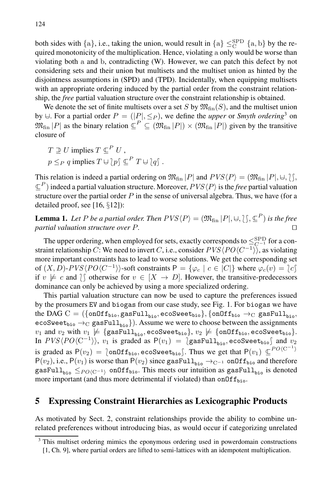both sides with  $\{a\}$ , i.e., taking the union, would result in  $\{a\} \leq^{\text{SPD}}_{\text{C}} \{a, b\}$  by the required monotonicity of the multiplication. Hence, violating a only would be worse than violating both a and b, contradicting (W). However, we can patch this defect by not considering sets and their union but multisets and the multiset union as hinted by the disjointness assumptions in (SPD) and (TPD). Incidentally, when equipping multisets with an appropriate ordering induced by the partial order from the constraint relationship, the *free* partial valuation structure over the constraint relationship is obtained.

We denote the set of finite multisets over a set S by  $\mathfrak{M}_{fin}(S)$ , and the multiset union by  $\cup$ . For a partial order  $P = (|P|, \leq_P)$ , we define the *upper* or *Smyth ordering*<sup>3</sup> on  $\mathfrak{M}_{fin}$  |P| as the binary relation  $\underline{\mathbb{C}}^P \subseteq (\mathfrak{M}_{fin} |P|) \times (\mathfrak{M}_{fin} |P|)$  given by the transitive [clo](#page-17-11)sure of

$$
T \supseteq U \text{ implies } T \subseteqq{^P} U ,
$$
  

$$
p \leq_P q \text{ implies } T \cup \{p\} \subseteqq{^P} T \cup \{q\} .
$$

This relation is indeed a partial ordering on  $\mathfrak{M}_{fin} |P|$  and  $PVS\langle P\rangle = (\mathfrak{M}_{fin} |P|, \cup, \{\},\$  $\mathbb{E}^{P}$ ) indeed a partial valuation structure. Moreover,  $PVS\langle P\rangle$  is the *free* partial valuation structure over the partial order  $P$  in the sense of universal algebra. Thus, we have (for a detailed proof, see [16, §12]):

**Lemma 1.** *Let P be a partial order. Then*  $PVS\langle P \rangle = (\mathfrak{M}_{fin} | P |, \forall, \xi)$ ,  $\subseteq^P$ ) *is the free partial valuation structure over* P*.*

The upper ordering, when employed for [set](#page-4-0)s, exactly corresponds to  $\leq^{\text{SPD}}_{C^{-1}}$  for a constraint relationship C: We need to invert C, i.e., consider  $PVS \langle PO \langle C^{-1} \rangle \rangle$ , as violating more important constraints has to lead to worse solutions. We get the corresponding set of  $(X, D)$ - $PVS\langle PO\langle C^{-1}\rangle\rangle$ -soft constraints  $P = \{\varphi_c \mid c \in |C|\}$  where  $\varphi_c(v) = \{c\}$ if  $v \not\models c$  and  $\uparrow \uparrow$  otherwise for  $v \in [X \rightarrow D]$ . However, the transitive-predecessors dominance can only be achieved by using a more specialized ordering.

<span id="page-9-0"></span>This partial valuation structure can now be used to capture the preferences issued by the prosumers EV and biogas from our case study, see Fig. 1. For biogas we have the DAG  $\rm C = (\{onOff_{bio}, gasFull_{bio}, ecoSweet_{bio}\}, \{onOff_{bio} \rightarrow_{C} gasFull_{bio},$ ecoSweet<sub>bio</sub>  $\rightarrow_C$  gasFull<sub>bio</sub>}). Assume we were to choose between the assignments  $v_1$  and  $v_2$  with  $v_1 \not\models \{\texttt{gasFull}_{\texttt{bio}}, \texttt{ecoSweet}_{\texttt{bio}}\}$ ,  $v_2 \not\models \{\texttt{onOff}_{\texttt{bio}}, \texttt{ecoSweet}_{\texttt{bio}}\}.$ In  $PVS\langle PO\langle \text{C}^{-1} \rangle\rangle$ ,  $v_1$  is graded as  $\mathsf{P}(v_1)$  =  $\{ \mathsf{gasFull}_{\text{bio}}, \mathsf{ecoSweet}_{\text{bio}} \}$  and  $v_2$ is g[ra](#page-2-0)ded as  $P(v_2) = \{onOff_{bio}, ecoSweet_{bio}\}$ . Thus we get that  $P(v_1) \subseteq \frac{PO\langle C^{-1} \rangle}{P(v_1)}$  $P(v_2)$ , i.e.,  $P(v_1)$  is worse than  $P(v_2)$  since gasFull<sub>bio</sub>  $\rightarrow_{C^{-1}}$  onOff<sub>bio</sub> and therefore gasFull<sub>bio</sub>  $\leq$  *PO*(C<sup>-1</sup>)</sub> onOff<sub>bio</sub>. This meets our intuition as gasFull<sub>bio</sub> is denoted more important (and thus more detrimental if violated) than  $\text{onOff}_{\text{bio}}$ .

# **5 Expressing Constraint Hierarchies as Lexicographic Products**

As motivated by Sect. 2, constraint relationships provide the ability to combine unrelated preferences without introducing bias, as would occur if categorizing unrelated

<sup>&</sup>lt;sup>3</sup> This multiset ordering mimics the eponymous ordering used in powerdomain constructions

<sup>[1,</sup> Ch. 9], where partial orders are lifted to semi-lattices with an idempotent multiplication.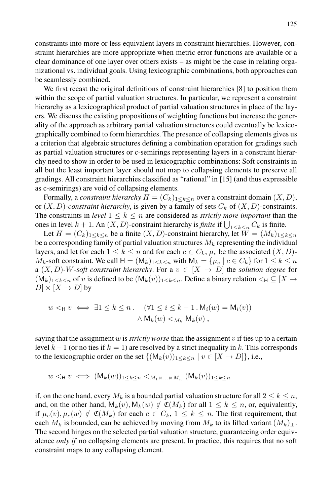constraints into more or less equivalent layers in constraint hierarchies. However, constraint hierarchies are more appropriate when metric error functions are available or a clear dominance of one layer over others exists – as might be the case in relating organizational vs. individual goals. Using lexicographic combinations, both approaches can be seamlessly combined.

We first recast the original definitions of constraint hierarchies [8] to position them within the scope of partial valuation structures. In particular, we represent a constraint hierarchy as a lexicographical product of [parti](#page-17-10)al valuation structures in place of the layers. We discuss the existing propositions of weighting functions but increase the generality of the approach as arbitrary partial valuation structures could eventually be lexicographically combined to form hierarchies. The presence of collapsing elements gives us a criterion that algebraic structures defining a combination operation for gradings such as partial valuation structures or c-semirings representing layers in a constraint hierarchy need to show in order to be used in lexicographic combinations: Soft constraints in all but the least important layer should not map to collapsing elements to preserve all gradings. All constraint hierarchies classified as "rational" in [15] (and thus expressible as c-semirings) are void of collapsing elements.

Formally, a *constraint hierarchy*  $H = (C_k)_{1 \leq k \leq n}$  over a constraint domain  $(X, D)$ , or  $(X, D)$ -constraint hierarchy, is given by a family of sets  $C_k$  of  $(X, D)$ -constraints. The constraints in *level*  $1 \leq k \leq n$  are considered as *strictly more important* than the ones in level  $k + 1$ . An  $(X, D)$ -constraint hierarchy is *finite* if  $\bigcup_{1 \leq k \leq n} C_k$  is finite.

Let  $H = (C_k)_{1 \leq k \leq n}$  be a finite  $(X, D)$ -constraint hierarchy, let  $\overline{W} = (M_k)_{1 \leq k \leq n}$ be a corresponding family of partial valuation structures  $M_k$  representing the individual layers, and let for each  $1 \leq k \leq n$  and for each  $c \in C_k$ ,  $\mu_c$  be the associated  $(X, D)$ - $M_k$ -soft constraint. We call  $H = (M_k)_{1 \leq k \leq n}$  with  $M_k = \{\mu_c \mid c \in C_k\}$  for  $1 \leq k \leq n$ a  $(X, D)$ *-W<sub>-soft</sub> constraint hierarchy*. For a  $v \in [X \rightarrow D]$  the *solution degree* for  $(M_k)_{1\leq k\leq n}$  of v is defined to be  $(M_k(v))_{1\leq k\leq n}$ . Define a binary relation  $\lt_H \subseteq [X \to$  $D \times [X \rightarrow D]$  by

$$
w <_{\mathsf{H}} v \iff \exists 1 \leq k \leq n. \quad (\forall 1 \leq i \leq k - 1. \mathsf{M}_{i}(w) = \mathsf{M}_{i}(v))
$$

$$
\land \mathsf{M}_{k}(w) <_{\mathsf{M}_{k}} \mathsf{M}_{k}(v),
$$

saying that the assignment w is *strictly worse* than the assignment v if ties up to a certain level  $k-1$  (or no ties if  $k = 1$ ) are resolved by a strict inequality in k. This corresponds to the lexicographic order on the set  $\{(M_k(v))_{1\leq k\leq n} \mid v \in [X \to D]\},$  i.e.,

$$
w <_{\mathsf{H}} v \iff (\mathsf{M}_k(w))_{1 \leq k \leq n} <_{M_1 \times \ldots \times M_n} (\mathsf{M}_k(v))_{1 \leq k \leq n}
$$

if, on the one hand, every  $M_k$  is a bounded partial valuation structure for all  $2 \leq k \leq n$ , and, on the other hand,  $M_k(v)$ ,  $M_k(w) \notin \mathfrak{C}(M_k)$  for all  $1 \leq k \leq n$ , or, equivalently, if  $\mu_c(v), \mu_c(w) \notin \mathfrak{C}(M_k)$  for each  $c \in C_k$ ,  $1 \leq k \leq n$ . The first requirement, that each  $M_k$  is bounded, can be achieved by moving from  $M_k$  to its lifted variant  $(M_k)_\perp$ . The second hinges on the selected partial valuation structure, guaranteeing order equivalence *only if* no collapsing elements are present. In practice, this requires that no soft constraint maps to any collapsing element.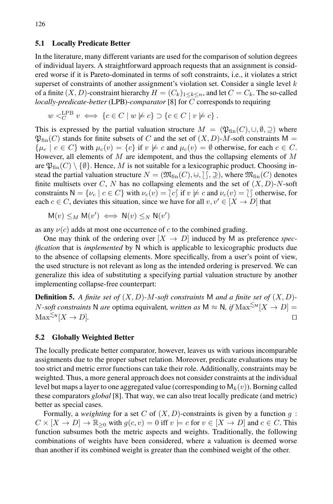#### **5.1 Locally Predicate Better**

In the literature, many different variants are used for the comparison of solution degrees of individual layers. A straightforward approach requests that an assignment is considered worse if it is Pareto-dominated in terms of soft constraints, i.e., it violates a strict superset of constraints of another assignment's violation set. Consider a single level  $k$ of a finite  $(X, D)$ -constraint hierarchy  $H = (C_k)_{1 \leq k \leq n}$ , and let  $C = C_k$ . The so-called *locally-predicate-better* (LPB)-*comparator* [8] for C corresponds to requiring

 $w <sub>C</sub><sup>LPB</sup> v \iff \{c \in C \mid w \not\models c\} \supset \{c \in C \mid v \not\models c\}.$ 

<span id="page-11-1"></span>This is expressed by the partial valuation structure  $M = (\mathfrak{P}_{fin}(C), \cup, \emptyset, \supseteq)$  where  $\mathfrak{P}_{fin}(C)$  stands for finite subsets of C and the set of  $(X, D)$ -M-soft constraints M =  $\{\mu_c \mid c \in C\}$  with  $\mu_c(v) = \{c\}$  if  $v \not\models c$  and  $\mu_c(v) = \emptyset$  otherwise, for each  $c \in C$ . However, all elements of  $M$  are idempotent, and thus the collapsing elements of  $M$ are  $\mathfrak{P}_{fin}(C) \setminus \{\emptyset\}$ . Hence, M is not suitable for a lexicographic product. Choosing instead the partial valuation structure  $N = (\mathfrak{M}_{fin}(C), \cup, \{\}, \underline{\mathbb{D}})$ , where  $\mathfrak{M}_{fin}(C)$  denotes finite multisets over C, N has no collapsing elements and the set of  $(X, D)$ -N-soft constraints  $N = \{v_c \mid c \in C\}$  with  $v_c(v) = \overline{c}$  if  $v \not\models c$  and  $v_c(v) = \overline{c}$  otherwise, for each  $c \in C$ , deviates this situation, since we have for all  $v, v' \in [X \to D]$  that

<span id="page-11-0"></span>
$$
M(v) \leq_M M(v') \iff N(v) \leq_N N(v')
$$

as any  $\nu(c)$  adds at most one occurrence of c to the combined grading.

One may think of the ordering over  $[X \to D]$  induced by M as preference *specification* that is *implemented* by N which is applicable to lexicographic products due to the absence of collapsing elements. More specifically, from a user's point of view, the used structure is not relevant as long as the intended ordering is preserved. We can generalize this idea of substituting a specifying partial valuation structure by another implementing collapse-free counterpart:

**Definition 5.** A finite set of  $(X, D)$ -M-soft constraints M and a finite set of  $(X, D)$ -*N*-soft constraints N are optima equivalent, written as  $M \approx N$ , if  $Max^{\leq M}[X \to D] =$  $\text{Max}^{\leq N}$  $[X \rightarrow D]$ .

### **5.2 Globally Weighted Better**

The locally predicate better comparator, however, leaves us with various incomparable assignments due to the proper subset relation. Moreover, predicate evaluations may be too strict and metric error functions can take their role. Additionally, constraints may be weighted. Thus, a more general approach does not consider constraints at the individual level but maps a layer to one aggregated value (corresponding to  $M_k(v)$ ). Borning called these comparators *global* [8]. That way, we can also treat locally predicate (and metric) better as special cases.

Formally, a *weighting* for a set  $C$  of  $(X, D)$ -constraints is given by a function  $g$ :  $C \times [X \to D] \to \mathbb{R}_{\geq 0}$  with  $q(c, v) = 0$  iff  $v \models c$  for  $v \in [X \to D]$  and  $c \in C$ . This function subsumes both the metric aspects and weights. Traditionally, the following combinations of weights have been considered, where a valuation is deemed worse than another if its combined weight is greater than the combined weight of the other.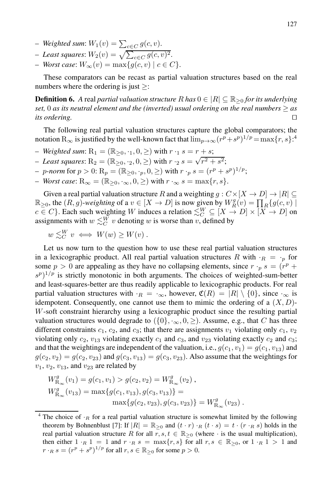- Weighted sum:  $W_1(v) = \sum_{c \in C} g(c, v)$ .
- − Least squares:  $W_2(v) = \sqrt{\sum_{c \in C} g(c, v)^2}$ .
- *Worst case*: W∞(v) = max{g(c, v) | c ∈ C}.

These comparators can be recast as partial valuation structures based on the real numbers where the ordering is just  $\geq$ :

**Definition 6.** *A* real *partial valuation structure*  $R$  *has*  $0 \in |R| \subseteq \mathbb{R}_{\geq 0}$  *for its underlying set,* 0 *as its neutral element and the (inverted) usual ordering on the real numbers*  $\geq$  *as its ordering. its ordering.*

The following real partial valuation structures capture the global comparators; the notation R<sub>∞</sub> is justified by the well-known fact that  $\lim_{p\to\infty} (r^p + s^p)^{1/p} = \max\{r, s\}$ .<sup>4</sup>

- $-$  *Weighted sum*:  $R_1 = (\mathbb{R}_{\geq 0}, \cdot_1, 0, \geq)$  with  $r \cdot_1 s = r + s$ ;
- *Least squares*:  $R_2 = (\mathbb{R}_{\geq 0}, 2, 0, \geq)$  with  $r \cdot 2 s = \sqrt{r^2 + s^2}$ ;
- *− p-norm* for  $p > 0$ : R<sub>p</sub> = (ℝ≥0, ·<sub>p</sub>, 0, ≥) with  $r \cdot_p s = (r^p + s^p)^{1/p}$ ;
- *Worst case*: R<sub>∞</sub> = (R<sub>>0</sub>, ⋅<sub>∞</sub>, 0, ≥) with  $r \cdot_{\infty} s = \max\{r, s\}.$

Given a real partial valuation structure R and a weighting  $g: C \times [X \to D] \to |R| \subseteq$  $\mathbb{R}_{\geq 0}$ , the  $(R, g)$ *-weighting* of a  $v \in [X \to D]$  is now given by  $W_R^g(v) = \prod_R \{g(c, v) \mid$  $c \in C$ . Each such weighting W induces a relation  $\leq^W_C \subseteq [X \to D] \times [X \to D]$  on assignments with  $w \lesssim_C^W v$  denoting w is worse than v, defined by

$$
w \lesssim_C^W v \iff W(w) \ge W(v) .
$$

Let us now turn to the question how to use these real partial valuation structures in a lexicographic product. All real partial valuation structures R with  $\cdot_R = \cdot_p$  for some  $p > 0$  are appealing as they have no collapsing elements, since  $r \cdot_p s = (r^p +$  $s^p$ <sup>1/p</sup> is strictly monotonic in both arguments. The choices of weighted-sum-better and least-squares-better are thus readily applicable to lexicographic products. For real partial valuation structures with  $\cdot_R = \cdot_{\infty}$ , however,  $\mathfrak{C}(R) = |R| \setminus \{0\}$ , since  $\cdot_{\infty}$  is idempotent. Consequently, one cannot use them to mimic the ordering of a  $(X, D)$ -W-soft constraint hierarchy using a lexicographic product since the resulting partial valuation structures would degrade to  $({0}, \cdot_{\infty}, 0, \geq)$ . Assume, e.g., that C has three different constraints  $c_1$ ,  $c_2$ , and  $c_3$ ; that there are assignments  $v_1$  violating only  $c_1$ ,  $v_2$ violating only  $c_2$ ,  $v_{13}$  violating exactly  $c_1$  and  $c_3$ , and  $v_{23}$  violating exactly  $c_2$  and  $c_3$ ; and that the weightings are independent of the valuation, i.e.,  $g(c_1, v_1) = g(c_1, v_{13})$  and  $g(c_2, v_2) = g(c_2, v_{23})$  $g(c_2, v_2) = g(c_2, v_{23})$  $g(c_2, v_2) = g(c_2, v_{23})$  and  $g(c_3, v_{13}) = g(c_3, v_{23})$ . Also assume that the weightings for  $v_1, v_2, v_{13}$ , and  $v_{23}$  are related by

$$
W_{\mathcal{R}_{\infty}}^g(v_1) = g(c_1, v_1) > g(c_2, v_2) = W_{\mathcal{R}_{\infty}}^g(v_2),
$$
  
\n
$$
W_{\mathcal{R}_{\infty}}^g(v_{13}) = \max\{g(c_1, v_{13}), g(c_3, v_{13})\} =
$$
  
\n
$$
\max\{g(c_2, v_{23}), g(c_3, v_{23})\} = W_{\mathcal{R}_{\infty}}^g(v_{23}).
$$

<sup>&</sup>lt;sup>4</sup> The choice of  $\cdot$ <sub>R</sub> for a real partial valuation structure is somewhat limited by the following theorem by Bohnenblust [7]: If  $|R| = \mathbb{R}_{\geq 0}$  and  $(t \cdot r) \cdot_R (t \cdot s) = t \cdot (r \cdot_R s)$  holds in the real partial valuation structure R for all  $r, s, t \in \mathbb{R}_{\geq 0}$  (where · is the usual multiplication), then either  $1 \cdot_R 1 = 1$  and  $r \cdot_R s = \max\{r, s\}$  for all  $r, s \in \mathbb{R}_{\geq 0}$ , or  $1 \cdot_R 1 > 1$  and  $r \cdot_R s = (r^p + s^p)^{1/p}$  for all  $r, s \in \mathbb{R}_{\geq 0}$  for some  $p > 0$ .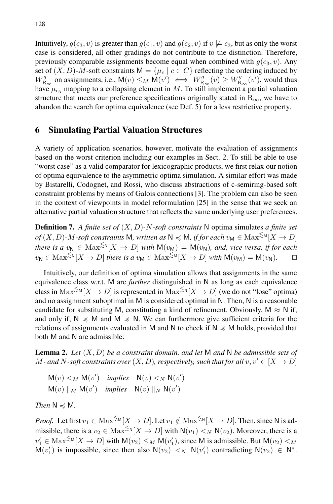<span id="page-13-0"></span>I[n](#page-11-1)tuitively,  $g(c_3, v)$  is greater than  $g(c_1, v)$  and  $g(c_2, v)$  if  $v \neq c_3$ , but as only the worst case is considered, all other gradings do not contribute to the distinction. Therefore, previously comparable assignments become equal when combined with  $q(c_3, v)$ . Any set of  $(X, D)$ -M-soft constraints  $M = \{\mu_c \mid c \in C\}$  reflecting the ordering induced by  $W_{\text{R}_{\infty}}^g$  on assignments, i.e.,  $\mathsf{M}(v) \leq_M \mathsf{M}(v') \iff W_{\text{R}_{\infty}}^g(v) \geq W_{\text{R}_{\infty}}^g(v')$ , would thus have  $\mu_{c3}$  mapp[in](#page-2-0)g to a collapsing element in M. To still implement a partial valuation structure that meets our preference specifications originally stated in  $\mathbb{R}_{\infty}$ , we have to abandon the search for optima equivalence (see Def. 5) for a less restrictive property.

### **6 Simulating Partial Val[uati](#page-18-8)on Structures**

A variety of application scenarios, however, motivate the evaluation of assignments based on the worst criterion including our examples in Sect. 2. To still be able to use "worst case" as a valid comparator for lexicographic products, we first relax our notion of optima equivalence to the asymmetric optima simulation. A similar effort was made by Bistarelli, Codognet, and Rossi, who discuss abstractions of c-semiring-based soft constraint problems by means of Galois connections [3]. The problem can also be seen in the context of viewpoints in model reformulation [25] in the sense that we seek an alternative partial valuation structure that reflects the same underlying user preferences.

<span id="page-13-1"></span>**Definition 7.** A finite set of  $(X, D)$ -N-soft constraints N optima simulates *a finite set*  $of (X, D)$ -M-soft constraints M, written as  $N \preccurlyeq M$ , if for each  $v_M \in \text{Max}^{\leq M}[X \to D]$  $there$  *is*  $a v_N \in \text{Max}^{\leq N}[X \to D]$  *with*  $\mathsf{M}(v_M) = \mathsf{M}(v_N)$ *, and, vice versa, if for each*  $v_{\mathsf{N}} \in \text{Max}^{\leq_{\mathsf{N}}}[X \to D]$  there is a  $v_{\mathsf{M}} \in \text{Max}^{\leq_{\mathsf{M}}}[X \to D]$  with  $\mathsf{M}(v_{\mathsf{M}}) = \mathsf{M}(v_{\mathsf{N}})$ .

Intuitively, our definition of optima simulation allows that assignments in the same equivalence class w.r.t. M are *further* distinguished in N as long as each equivalence class in  $\text{Max}^{\leq M}[X \to D]$  is represented in  $\text{Max}^{\leq N}[X \to D]$  (we do not "lose" optima) and no assignment suboptimal in M is considered optimal in N. Then, N is a reasonable candidate for substituting M, constituting a kind of refinement. Obviously,  $M \approx N$  if, and only if,  $N \preccurlyeq M$  and  $M \preccurlyeq N$ . We can furthermore give sufficient criteria for the relations of assignments evaluated in M and N to check if  $N \le M$  holds, provided that both M and N are admissible:

**Lemma 2.** *Let* (X, D) *be a constraint domain, and let* M *and* N *be admissible sets of*  $M$ - and  $N$ -soft constraints over  $(X, D)$ , respectively, such that for all  $v, v' \in [X \to D]$ 

$$
M(v) <_{M} M(v') \quad implies \quad N(v) <_{N} N(v')
$$
\n
$$
M(v) \parallel_{M} M(v') \quad implies \quad N(v) \parallel_{N} N(v')
$$

*Then*  $N \preccurlyeq M$ *.* 

*Proof.* Let first  $v_1 \in \text{Max}^{\leq M}[X \to D]$ . Let  $v_1 \notin \text{Max}^{\leq N}[X \to D]$ . Then, since N is admissible, there is a  $v_2 \in \text{Max}^{>} [X \to D]$  with  $\mathsf{N}(v_1) <_N \mathsf{N}(v_2)$ . Moreover, there is a  $v'_1 \in \text{Max}^{\leq M}[X \to D]$  with  $M(v_2) \leq_M M(v'_1)$ , since M is admissible. But  $M(v_2) <_M$  $M(v'_1)$  is impossible, since then also  $N(v_2) <_N N(v'_1)$  contradicting  $N(v_2) \in N^*$ .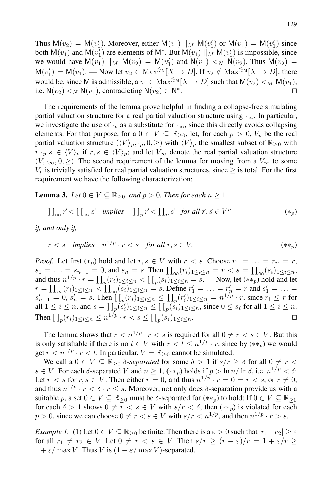<span id="page-14-0"></span>Thus  $M(v_2) = M(v'_1)$ . Moreover, either  $M(v_1) ||_M M(v'_1)$  or  $M(v_1) = M(v'_1)$  since both  $M(v_1)$  and  $M(v'_1)$  are elements of  $M^*$ . But  $M(v_1) ||_M M(v'_1)$  is impossible, since we would have  $M(v_1) \|_M$   $M(v_2) = M(v'_1)$  and  $N(v_1) < N(v_2)$ . Thus  $M(v_2) =$  $M(v_1') = M(v_1)$ . — Now let  $v_2 \in \text{Max}^{\leq N}[X \to D]$ . If  $v_2 \notin \text{Max}^{\leq M}[X \to D]$ , there would be, since M is admissible, a  $v_1 \in \text{Max}^{<} [X \to D]$  such that  $M(v_2) <_M M(v_1)$ , i.e.  $N(v_2) <_N N(v_1)$ , contradicting  $N(v_2) \in N^*$ . **Executive** Construction of the Construction of the Construction of the Construction of the Construction of the Construction of the Construction of the Construction of the Construction of the Construction of the Construc

<span id="page-14-1"></span>The requirements of the lemma prove helpful in finding a collapse-free simulating partial valuation structure for a real partial valuation structure using  $\cdot_{\infty}$ . In particular, we investigate the use of  $\cdot_p$  as a substitute for  $\cdot_{\infty}$ , since this directly avoids collapsing elements. For that purpose, for a  $0 \in V \subseteq \mathbb{R}_{\geq 0}$ , let, for each  $p > 0$ ,  $V_p$  be the real partial valuation structure  $(\langle V \rangle_p, \cdot_p, 0, \geq)$  with  $\langle V \rangle_p$  the smallest subset of  $\mathbb{R}_{\geq 0}$  with  $r \cdot_p s \in \langle V \rangle_p$  if  $r, s \in \langle V \rangle_p$ ; and let  $V_\infty$  denote the real partial valuation structure  $(V, \cdot_\infty, 0, \geq)$ . The second requirement of the lemma for moving from a  $V_\infty$  to some  $V_p$  is trivially satisfied for real partial valuation structures, since  $\geq$  is total. For the first requirement we have the following characterization:

**[L](#page-14-0)emma 3.** *Let*  $0 \in V \subseteq \mathbb{R}_{\geq 0}$ *, and*  $p > 0$ *. Then for each*  $n \geq 1$ 

$$
\prod_{\infty} \vec{r} < \prod_{\infty} \vec{s} \quad implies \quad \prod_{p} \vec{r} < \prod_{p} \vec{s} \quad \text{for all } \vec{r}, \vec{s} \in V^n \tag{*p}
$$

*if, and only if,*

$$
r < s \quad \text{implies} \quad n^{1/p} \cdot r < s \quad \text{for all } r, s \in V. \tag{**}_p
$$

<span id="page-14-2"></span>*Proof.* Let first  $(*_p)$  hold and let  $r, s \in V$  with  $r < s$ . Choose  $r_1 = \ldots = r_n = r$ ,  $s_1 = \ldots = s_{n-1} = 0$ , and  $s_n = s$ . Then  $\prod_{\infty} (r_i)_{1 \le i \le n} = r < s = \prod_{\infty} (s_i)_{1 \le i \le n}$ , and thus  $n^{1/p} \cdot r = \prod_p (r_i)_{1 \leq i \leq n} < \prod_p (s_i)_{1 \leq i \leq n} = s$  $n^{1/p} \cdot r = \prod_p (r_i)_{1 \leq i \leq n} < \prod_p (s_i)_{1 \leq i \leq n} = s$  $n^{1/p} \cdot r = \prod_p (r_i)_{1 \leq i \leq n} < \prod_p (s_i)_{1 \leq i \leq n} = s$ . — Now, let  $(**_p)$  hold and let  $r = \prod_{\infty} (r_i)_{1 \leq i \leq n} \leq \prod_{\infty} (s_i)_{1 \leq i \leq n} = s.$  Define  $r'_1 = \ldots = r'_n = r$  and  $s'_1 = \ldots = s$  $s'_{n-1} = 0$ ,  $s'_{n} = s$ . Then  $\prod_{p} (r_i)_{1 \leq i \leq n} \leq \prod_{p} (r'_i)_{1 \leq i \leq n} = n^{1/p} \cdot r$ , since  $r_i \leq r$  for all  $1 \leq i \leq n$ , and  $s = \prod_{p} \overline{s_i} \choose i_{1 \leq i \leq n} \leq \prod_{p} \overline{s_i} \choose i_{1 \leq i \leq n}$ , since  $0 \leq s_i$  for all  $1 \leq i \leq n$ .Then  $\prod_p (r_i)_{1 \leq i \leq n} \leq n^{1/p} \cdot r < s \leq \prod_p (s_i)_{1 \leq i \leq n}$ .

The lemma shows that  $r < n^{1/p} \cdot r < s$  $r < n^{1/p} \cdot r < s$  $r < n^{1/p} \cdot r < s$  [is](#page-14-1) required for all  $0 \neq r < s \in V$ . But this is only satisfiable if there is no  $t \in V$  with  $r < t \leq n^{1/p} \cdot r$ , since by  $(**_p)$  we would get  $r < n^{1/p} \cdot r < t$ . In particular,  $V = \mathbb{R}_{\geq 0}$  cannot be simulated.

We call a  $0 \in V \subseteq \mathbb{R}_{\geq 0}$   $\delta$ -separated for some  $\delta > 1$  if  $s/r \geq \delta$  for all  $0 \neq r <$  $s \in V$ . For each  $\delta$ -separated V and  $n \ge 1$ ,  $(*_{p})$  holds if  $p > \ln n / \ln \delta$ , i.e.  $n^{1/p} < \delta$ : Let  $r < s$  for  $r, s \in V$ . Then either  $r = 0$ , and thus  $n^{1/p} \cdot r = 0 = r < s$ , or  $r \neq 0$ , and thus  $n^{1/p} \cdot r < \delta \cdot r \leq s$ . Moreover, not only does  $\delta$ -separation provide us with a suitable p, a set  $0 \in V \subseteq \mathbb{R}_{\geq 0}$  must be  $\delta$ -separated for  $(**_p)$  to hold: If  $0 \in V \subseteq \mathbb{R}_{\geq 0}$ for each  $\delta > 1$  shows  $0 \neq r < s \in V$  with  $s/r < \delta$ , then  $(**_p)$  is violated for each  $p > 0$ , since we can choose  $0 \neq r < s \in V$  with  $s/r < n^{1/p}$ , and then  $n^{1/p} \cdot r > s$ .

*Example 1.* (1) Let  $0 \in V \subseteq \mathbb{R}_{\geq 0}$  be finite. Then there is a  $\varepsilon > 0$  such that  $|r_1 - r_2| \geq \varepsilon$ for all  $r_1 \neq r_2 \in V$ . Let  $0 \neq r < s \in V$ . Then  $s/r \geq (r + \varepsilon)/r = 1 + \varepsilon/r \geq$  $1 + \varepsilon / \max V$ . Thus V is  $(1 + \varepsilon / \max V)$ -separated.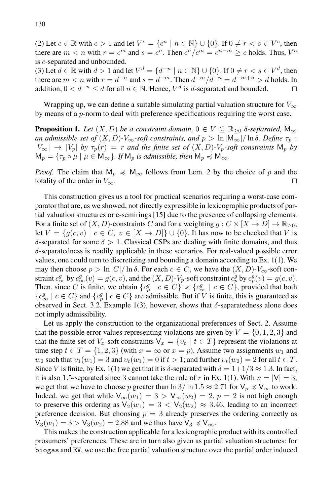(2) Let  $c \in \mathbb{R}$  with  $c > 1$  and let  $V^c = \{c^n | n \in \mathbb{N}\} \cup \{0\}$ . If  $0 \neq r < s \in V^c$ , then there are  $m < n$  with  $r = c^m$  and  $s = c^n$ . Then  $c^n/c^m = c^{n-m} \ge c$  holds. Thus,  $V^c$ is c-separated and unbounded.

(3) Let  $d \in \mathbb{R}$  with  $d > 1$  and let  $V^d = \{d^{-n} \mid n \in \mathbb{N}\} \cup \{0\}$ . If  $0 \neq r < s \in V^d$ , then there are  $m < n$  with  $r = d^{-n}$  and  $s = d^{-m}$ . Then  $d^{-m}/d^{-n} = d^{-m+n} > d$  holds. In addition,  $0 < d^{-n} \le d$  for all  $n \in \mathbb{N}$ . Hence,  $V^d$  is d-separated and bounded.

Wrapping up, we can define a sui[tab](#page-13-1)le simulating partial valuation structure for  $V_{\infty}$ by means of a p-norm to deal with preference specifications requiring the worst case.

**Proposition 1.** *Let*  $(X, D)$  *be a constraint domain,*  $0 \in V \subseteq \mathbb{R}_{\geq 0}$  *δ*-separated,  $\mathsf{M}_{\infty}$ *an admissible set of*  $(X, D)$ *-V*<sub>∞</sub>*-soft constraints, and*  $p > \ln |M_{\infty}| / \ln \delta$ *. Define*  $\tau_p$ :  $|V_\infty| \to |V_p|$  by  $\tau_p(r) = r$  $\tau_p(r) = r$  $\tau_p(r) = r$  *and the finite set of*  $(X, D)$ *-V<sub>p</sub>-soft constraints*  $\mathsf{M}_p$  *by*  $M_p = \{\tau_p \circ \mu \mid \mu \in M_\infty\}$ . If  $M_p$  is admissible, then  $M_p \preccurlyeq M_\infty$ .

*Proof.* The claim that  $M_p \preccurlyeq M_\infty$  follows from Lem. 2 by the choice of p and the totality of the order in  $V_\infty$ . totality of the order in  $V_{\infty}$ .

This construction gives us a tool for practical scenarios [re](#page-14-2)quiring a worst-case comparator that are, as we showed, not directly expressible in lexicographic products of partial valuation structures or c-semirings [15] due to the presence of collapsing elements. For a finite set of  $(X, D)$ -constraints C and for a weighting  $g : C \times [X \to D] \to \mathbb{R}_{\geq 0}$ , [let](#page-5-0)  $V = \{g(c, v) \mid c \in C, v \in [X \rightarrow D] \} \cup \{0\}$  $V = \{g(c, v) \mid c \in C, v \in [X \rightarrow D] \} \cup \{0\}$  $V = \{g(c, v) \mid c \in C, v \in [X \rightarrow D] \} \cup \{0\}$ . It has now to be checked that V is δ-separated for some  $\delta > 1$ . Classical CSPs are dealing with finite domains, and thus  $\delta$ -separatedness is readily applicable in these scenarios. [F](#page-2-0)or real-valued possible error values, one could turn to discretizing and bounding a domain according to Ex. 1(1). We may then choose  $p > \ln |C| / \ln \delta$ . For each  $c \in C$ , we have the  $(X, D)$ - $V_{\infty}$ -soft constraint  $c^g_\infty$  by  $c^g_\infty(v) = g(c, v)$ , and the  $(X, D)$ - $V_p$ -soft constraint  $c^g_p$  by  $c^g_p(v) = g(c, v)$ . Then, since C is finite, we obtain  $\{c_p^g \mid c \in C\} \preccurlyeq \{c_{\infty}^g \mid c \in C\}$ , provided that both  ${c_{\infty}^g \mid c \in C}$  and  ${c_p^g \mid c \in C}$  are admissible. But if V is finite, this is guaranteed as observed in Sect. 3.2. Example 1(3), how[ev](#page-14-2)er, shows that  $\delta$ -separatedness alone does not imply admissibility.

Let us apply the construction to the organizational preferences of Sect. 2. Assume that the possible error values representing violations are given by  $V = \{0, 1, 2, 3\}$  and that the finite set of  $V_x$ -soft constraints  $V_x = \{v_t | t \in T\}$  represent the violations at time step  $t \in T = \{1, 2, 3\}$  (with  $x = \infty$  or  $x = p$ ). Assume two assignments  $w_1$  and  $w_2$  such that  $v_1(w_1) = 3$  and  $v_t(w_1) = 0$  if  $t > 1$ ; and further  $v_t(w_2) = 2$  for all  $t \in T$ . Since V is finite, by Ex. 1(1) we get that it is  $\delta$ -separated with  $\delta = 1+1/3 \approx 1.3$ . In fact, it is also 1.5-separated since 3 cannot take the role of r in Ex. 1(1). With  $n = |V| = 3$ , we get that we have to choose p greater than  $\ln 3/\ln 1.5 \approx 2.71$  for  $V_p \le V_\infty$  to work. Indeed, we get that while  $\mathsf{V}_{\infty}(w_1) = 3 > \mathsf{V}_{\infty}(w_2) = 2$ ,  $p = 2$  is not high enough to preserve this ordering as  $\sqrt{2}(w_1) = 3 < \sqrt{2}(w_2) \approx 3.46$ , leading to an incorrect preference decision. But choosing  $p = 3$  already preserves the ordering correctly as  $V_3(w_1) = 3 > V_3(w_2) = 2.88$  and we thus have  $V_3 \preccurlyeq V_\infty$ .

This makes the construction applicable for a lexicographic product with its controlled prosumers' preferences. These are in turn also given as partial valuation structures: for biogas and EV, we use the free partial valuation structure over the partial order induced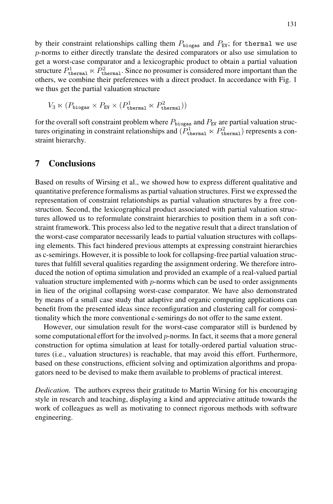by their constraint relationships calling them  $P_{\text{biogas}}$  and  $P_{EV}$ ; for thermal we use p-norms to either directly translate the desired comparators or also use simulation to get a worst-case comparator and a lexicographic product to obtain a partial valuation structure  $P_{\text{thermal}}^1 \lt P_{\text{thermal}}^2$ . Since no prosumer is considered more important than the others, we combine their preferences with a direct product. In accordance with Fig. 1 we thus get the partial valuation structure

$$
V_3 \ltimes (P_{\text{biogas}} \times P_{\text{EV}} \times (P_{\text{thermal}}^1 \ltimes P_{\text{thermal}}^2))
$$

for the overall soft constraint problem where  $P_{\text{biogas}}$  and  $P_{\text{EV}}$  are partial valuation structures originating in constraint relationships and  $(\bar{P}^1_{\text{thermal}} \ltimes P^2_{\text{thermal}})$  represents a constraint hierarchy.

# **7 Conclusions**

Based on results of Wirsing et al., we showed how to express different qualitative and quantitative preference formalisms as partial valuation structures. First we expressed the representation of constraint relationships as partial valuation structures by a free construction. Second, the lexicographical product associated with partial valuation structures allowed us to reformulate constraint hierarchies to position them in a soft constraint framework. This process also led to the negative result that a direct translation of the worst-case comparator necessarily leads to partial valuation structures with collapsing elements. This fact hindered previous attempts at expressing constraint hierarchies as c-semirings. However, it is possible to look for collapsing-free partial valuation structures that fulfill several qualities regarding the assignment ordering. We therefore introduced the notion of optima simulation and provided an example of a real-valued partial valuation structure implemented with  $p$ -norms which can be used to order assignments in lieu of the original collapsing worst-case comparator. We have also demonstrated by means of a small case study that adaptive and organic computing applications can benefit from the presented ideas since reconfiguration and clustering call for compositionality which the more conventional c-semirings do not offer to the same extent.

However, our simulation result for the worst-case comparator still is burdened by some computational effort for the involved  $p$ -norms. In fact, it seems that a more general construction for optima simulation at least for totally-ordered partial valuation structures (i.e., valuation structures) is reachable, that may avoid this effort. Furthermore, based on these constructions, efficient solving and optimization algorithms and propagators need to be devised to make them available to problems of practical interest.

*Dedication.* The authors express their gratitude to Martin Wirsing for his encouraging style in research and teaching, displaying a kind and appreciative attitude towards the work of colleagues as well as motivating to connect rigorous methods with software engineering.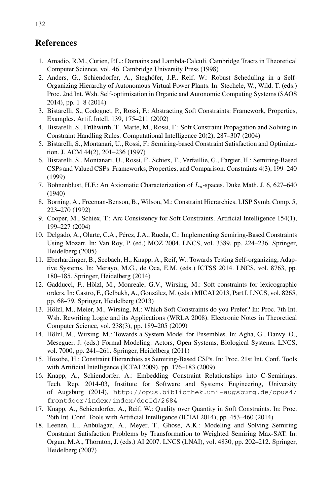# <span id="page-17-15"></span><span id="page-17-14"></span><span id="page-17-12"></span><span id="page-17-7"></span><span id="page-17-4"></span><span id="page-17-3"></span>**References**

- <span id="page-17-1"></span>1. Amadio, R.M., Curien, P.L.: Domains and Lambda-Calculi. Cambridge Tracts in Theoretical Computer Science, vol. 46. Cambridge University Press (1998)
- <span id="page-17-9"></span>2. Anders, G., Schiendorfer, A., Steghöfer, J.P., Reif, W.: Robust Scheduling in a Self-Organizing Hierarchy of Autonomous Virtual Power Plants. In: Stechele, W., Wild, T. (eds.) Proc. 2nd Int. Wsh. Self-optimisation in Organic and Autonomic Computing Systems (SAOS 2014), pp. 1–8 (2014)
- <span id="page-17-6"></span>3. Bistarelli, S., Codognet, P., Rossi, F.: Abstracting Soft Constraints: Framework, Properties, Examples. Artif. Intell. 139, 175–211 (2002)
- 4. Bistarelli, S., Frühwirth, T., Marte, M., Rossi, F.: Soft Constraint Propagation and Solving in Constraint Handling Rules. Computational Intelligence 20(2), 287–307 (2004)
- <span id="page-17-13"></span>5. Bistarelli, S., Montanari, U., Rossi, F.: Semiring-based Constraint Satisfaction and Optimization. J. ACM 44(2), 201–236 (1997)
- <span id="page-17-8"></span>6. Bistarelli, S., Montanari, U., Rossi, F., Schiex, T., Verfaillie, G., Fargier, H.: Semiring-Based CSPs and Valued CSPs: Frameworks, Properties, and Comparison. Constraints 4(3), 199–240 (1999)
- 7. Bohnenblust, H.F.: An Axiomatic Characterization of  $L<sub>n</sub>$ -spaces. Duke Math. J. 6, 627–640 (1940)
- <span id="page-17-0"></span>8. Borning, A., Freeman-Benson, B., Wilson, M.: Constraint Hierarchies. LISP Symb. Comp. 5, 223–270 (1992)
- <span id="page-17-10"></span>9. Cooper, M., Schiex, T.: Arc Consistency for Soft Constraints. Artificial Intelligence 154(1), 199–227 (2004)
- <span id="page-17-11"></span>10. Delgado, A., Olarte, C.A., Pérez, J.A., Rueda, C.: Implementing Semiring-Based Constraints Using Mozart. In: Van Roy, P. (ed.) MOZ 2004. LNCS, vol. 3389, pp. 224–236. Springer, Heidelberg (2005)
- <span id="page-17-2"></span>11. Eberhardinger, B., Seebach, H., Knapp, A., Reif, W.: Towards Testing Self-organizing, Adaptive Systems. In: Merayo, M.G., de Oca, E.M. (eds.) ICTSS 2014. LNCS, vol. 8763, pp. 180–185. Springer, Heidelberg (2014)
- <span id="page-17-5"></span>12. Gadducci, F., Hölzl, M., Monreale, G.V., Wirsing, M.: Soft constraints for lexicographic orders. In: Castro, F., Gelbukh, A., González, M. (eds.) MICAI 2013, Part I. LNCS, vol. 8265, pp. 68–79. Springer, Heidelberg (2013)
- 13. Hölzl, M., Meier, M., Wirsing, M.: Which Soft Constraints do you Prefer? In: Proc. 7th Int. Wsh. Rewriting Logic and its Applications (WRLA 2008). Electronic Notes in Theoretical Computer Science, vol. 238(3), pp. [189–205](http://opus.bibliothek.uni-augsburg.de/opus4/frontdoor/index/index/docId/2684) (2009)
- 14. Hölzl, M., [Wirsin](http://opus.bibliothek.uni-augsburg.de/opus4/frontdoor/index/index/docId/2684)g, M.: Towards a System Model for Ensembles. In: Agha, G., Danvy, O., Meseguer, J. (eds.) Formal Modeling: Actors, Open Systems, Biological Systems. LNCS, vol. 7000, pp. 241–261. Springer, Heidelberg (2011)
- 15. Hosobe, H.: Constraint Hierarchies as Semiring-Based CSPs. In: Proc. 21st Int. Conf. Tools with Artificial Intelligence (ICTAI 2009), pp. 176–183 (2009)
- 16. Knapp, A., Schiendorfer, A.: Embedding Constraint Relationships into C-Semirings. Tech. Rep. 2014-03, Institute for Software and Systems Engineering, University of Augsburg (2014), http://opus.bibliothek.uni-augsburg.de/opus4/ frontdoor/index/index/docId/2684
- 17. Knapp, A., Schiendorfer, A., Reif, W.: Quality over Quantity in Soft Constraints. In: Proc. 26th Int. Conf. Tools with Artificial Intelligence (ICTAI 2014), pp. 453–460 (2014)
- 18. Leenen, L., Anbulagan, A., Meyer, T., Ghose, A.K.: Modeling and Solving Semiring Constraint Satisfaction Problems by Transformation to Weighted Semiring Max-SAT. In: Orgun, M.A., Thornton, J. (eds.) AI 2007. LNCS (LNAI), vol. 4830, pp. 202–212. Springer, Heidelberg (2007)